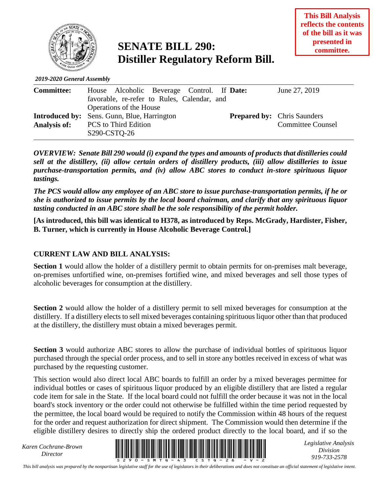

## **SENATE BILL 290: Distiller Regulatory Reform Bill.**

*2019-2020 General Assembly*

| <b>Committee:</b> | House Alcoholic Beverage Control. If Date:         | June 27, 2019                      |
|-------------------|----------------------------------------------------|------------------------------------|
|                   | favorable, re-refer to Rules, Calendar, and        |                                    |
|                   | Operations of the House                            |                                    |
|                   | <b>Introduced by:</b> Sens. Gunn, Blue, Harrington | <b>Prepared by:</b> Chris Saunders |
| Analysis of:      | <b>PCS</b> to Third Edition                        | <b>Committee Counsel</b>           |
|                   | S <sub>290</sub> -CSTQ-26                          |                                    |

*OVERVIEW: Senate Bill 290 would (i) expand the types and amounts of products that distilleries could sell at the distillery, (ii) allow certain orders of distillery products, (iii) allow distilleries to issue purchase-transportation permits, and (iv) allow ABC stores to conduct in-store spirituous liquor tastings.*

*The PCS would allow any employee of an ABC store to issue purchase-transportation permits, if he or she is authorized to issue permits by the local board chairman, and clarify that any spirituous liquor tasting conducted in an ABC store shall be the sole responsibility of the permit holder.*

**[As introduced, this bill was identical to H378, as introduced by Reps. McGrady, Hardister, Fisher, B. Turner, which is currently in House Alcoholic Beverage Control.]**

## **CURRENT LAW AND BILL ANALYSIS:**

**Section 1** would allow the holder of a distillery permit to obtain permits for on-premises malt beverage, on-premises unfortified wine, on-premises fortified wine, and mixed beverages and sell those types of alcoholic beverages for consumption at the distillery.

**Section 2** would allow the holder of a distillery permit to sell mixed beverages for consumption at the distillery. If a distillery elects to sell mixed beverages containing spirituous liquor other than that produced at the distillery, the distillery must obtain a mixed beverages permit.

**Section 3** would authorize ABC stores to allow the purchase of individual bottles of spirituous liquor purchased through the special order process, and to sell in store any bottles received in excess of what was purchased by the requesting customer.

This section would also direct local ABC boards to fulfill an order by a mixed beverages permittee for individual bottles or cases of spirituous liquor produced by an eligible distillery that are listed a regular code item for sale in the State. If the local board could not fulfill the order because it was not in the local board's stock inventory or the order could not otherwise be fulfilled within the time period requested by the permittee, the local board would be required to notify the Commission within 48 hours of the request for the order and request authorization for direct shipment. The Commission would then determine if the eligible distillery desires to directly ship the ordered product directly to the local board, and if so the

*Karen Cochrane-Brown*



*Legislative Analysis Division 919-733-2578*

*This bill analysis was prepared by the nonpartisan legislative staff for the use of legislators in their deliberations and does not constitute an official statement of legislative intent.*